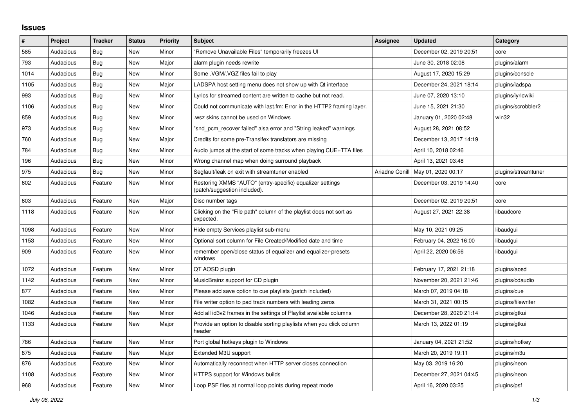## **Issues**

| $\vert$ # | Project   | <b>Tracker</b> | <b>Status</b> | <b>Priority</b> | <b>Subject</b>                                                                            | Assignee | <b>Updated</b>                      | Category            |
|-----------|-----------|----------------|---------------|-----------------|-------------------------------------------------------------------------------------------|----------|-------------------------------------|---------------------|
| 585       | Audacious | Bug            | <b>New</b>    | Minor           | "Remove Unavailable Files" temporarily freezes UI                                         |          | December 02, 2019 20:51             | core                |
| 793       | Audacious | Bug            | <b>New</b>    | Major           | alarm plugin needs rewrite                                                                |          | June 30, 2018 02:08                 | plugins/alarm       |
| 1014      | Audacious | Bug            | <b>New</b>    | Minor           | Some .VGM/.VGZ files fail to play                                                         |          | August 17, 2020 15:29               | plugins/console     |
| 1105      | Audacious | <b>Bug</b>     | <b>New</b>    | Major           | LADSPA host setting menu does not show up with Qt interface                               |          | December 24, 2021 18:14             | plugins/ladspa      |
| 993       | Audacious | <b>Bug</b>     | New           | Minor           | Lyrics for streamed content are written to cache but not read.                            |          | June 07, 2020 13:10                 | plugins/lyricwiki   |
| 1106      | Audacious | Bug            | <b>New</b>    | Minor           | Could not communicate with last.fm: Error in the HTTP2 framing layer.                     |          | June 15, 2021 21:30                 | plugins/scrobbler2  |
| 859       | Audacious | <b>Bug</b>     | <b>New</b>    | Minor           | wsz skins cannot be used on Windows                                                       |          | January 01, 2020 02:48              | win32               |
| 973       | Audacious | <b>Bug</b>     | <b>New</b>    | Minor           | "snd_pcm_recover failed" alsa error and "String leaked" warnings                          |          | August 28, 2021 08:52               |                     |
| 760       | Audacious | Bug            | <b>New</b>    | Major           | Credits for some pre-Transifex translators are missing                                    |          | December 13, 2017 14:19             |                     |
| 784       | Audacious | Bug            | <b>New</b>    | Minor           | Audio jumps at the start of some tracks when playing CUE+TTA files                        |          | April 10, 2018 02:46                |                     |
| 196       | Audacious | Bug            | <b>New</b>    | Minor           | Wrong channel map when doing surround playback                                            |          | April 13, 2021 03:48                |                     |
| 975       | Audacious | <b>Bug</b>     | <b>New</b>    | Minor           | Segfault/leak on exit with streamtuner enabled                                            |          | Ariadne Conill   May 01, 2020 00:17 | plugins/streamtuner |
| 602       | Audacious | Feature        | New           | Minor           | Restoring XMMS "AUTO" (entry-specific) equalizer settings<br>(patch/suggestion included). |          | December 03, 2019 14:40             | core                |
| 603       | Audacious | Feature        | <b>New</b>    | Major           | Disc number tags                                                                          |          | December 02, 2019 20:51             | core                |
| 1118      | Audacious | Feature        | New           | Minor           | Clicking on the "File path" column of the playlist does not sort as<br>expected.          |          | August 27, 2021 22:38               | libaudcore          |
| 1098      | Audacious | Feature        | <b>New</b>    | Minor           | Hide empty Services playlist sub-menu                                                     |          | May 10, 2021 09:25                  | libaudgui           |
| 1153      | Audacious | Feature        | New           | Minor           | Optional sort column for File Created/Modified date and time                              |          | February 04, 2022 16:00             | libaudgui           |
| 909       | Audacious | Feature        | <b>New</b>    | Minor           | remember open/close status of equalizer and equalizer-presets<br>windows                  |          | April 22, 2020 06:56                | libaudgui           |
| 1072      | Audacious | Feature        | New           | Minor           | QT AOSD plugin                                                                            |          | February 17, 2021 21:18             | plugins/aosd        |
| 1142      | Audacious | Feature        | <b>New</b>    | Minor           | MusicBrainz support for CD plugin                                                         |          | November 20, 2021 21:46             | plugins/cdaudio     |
| 877       | Audacious | Feature        | <b>New</b>    | Minor           | Please add save option to cue playlists (patch included)                                  |          | March 07, 2019 04:18                | plugins/cue         |
| 1082      | Audacious | Feature        | <b>New</b>    | Minor           | File writer option to pad track numbers with leading zeros                                |          | March 31, 2021 00:15                | plugins/filewriter  |
| 1046      | Audacious | Feature        | New           | Minor           | Add all id3v2 frames in the settings of Playlist available columns                        |          | December 28, 2020 21:14             | plugins/gtkui       |
| 1133      | Audacious | Feature        | New           | Major           | Provide an option to disable sorting playlists when you click column<br>header            |          | March 13, 2022 01:19                | plugins/gtkui       |
| 786       | Audacious | Feature        | New           | Minor           | Port global hotkeys plugin to Windows                                                     |          | January 04, 2021 21:52              | plugins/hotkey      |
| 875       | Audacious | Feature        | <b>New</b>    | Major           | Extended M3U support                                                                      |          | March 20, 2019 19:11                | plugins/m3u         |
| 876       | Audacious | Feature        | New           | Minor           | Automatically reconnect when HTTP server closes connection                                |          | May 03, 2019 16:20                  | plugins/neon        |
| 1108      | Audacious | Feature        | <b>New</b>    | Minor           | HTTPS support for Windows builds                                                          |          | December 27, 2021 04:45             | plugins/neon        |
| 968       | Audacious | Feature        | <b>New</b>    | Minor           | Loop PSF files at normal loop points during repeat mode                                   |          | April 16, 2020 03:25                | plugins/psf         |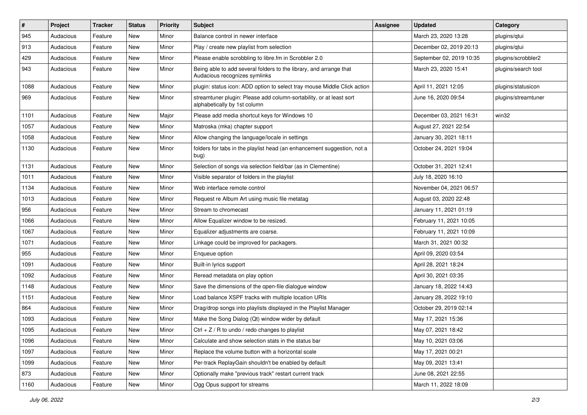| $\#$ | Project   | <b>Tracker</b> | <b>Status</b> | <b>Priority</b> | <b>Subject</b>                                                                                      | <b>Assignee</b> | <b>Updated</b>           | Category            |
|------|-----------|----------------|---------------|-----------------|-----------------------------------------------------------------------------------------------------|-----------------|--------------------------|---------------------|
| 945  | Audacious | Feature        | New           | Minor           | Balance control in newer interface                                                                  |                 | March 23, 2020 13:28     | plugins/qtui        |
| 913  | Audacious | Feature        | <b>New</b>    | Minor           | Play / create new playlist from selection                                                           |                 | December 02, 2019 20:13  | plugins/qtui        |
| 429  | Audacious | Feature        | New           | Minor           | Please enable scrobbling to libre.fm in Scrobbler 2.0                                               |                 | September 02, 2019 10:35 | plugins/scrobbler2  |
| 943  | Audacious | Feature        | New           | Minor           | Being able to add several folders to the library, and arrange that<br>Audacious recognizes symlinks |                 | March 23, 2020 15:41     | plugins/search tool |
| 1088 | Audacious | Feature        | New           | Minor           | plugin: status icon: ADD option to select tray mouse Middle Click action                            |                 | April 11, 2021 12:05     | plugins/statusicon  |
| 969  | Audacious | Feature        | New           | Minor           | streamtuner plugin: Please add column-sortability, or at least sort<br>alphabetically by 1st column |                 | June 16, 2020 09:54      | plugins/streamtuner |
| 1101 | Audacious | Feature        | New           | Major           | Please add media shortcut keys for Windows 10                                                       |                 | December 03, 2021 16:31  | win32               |
| 1057 | Audacious | Feature        | New           | Minor           | Matroska (mka) chapter support                                                                      |                 | August 27, 2021 22:54    |                     |
| 1058 | Audacious | Feature        | New           | Minor           | Allow changing the language/locale in settings                                                      |                 | January 30, 2021 18:11   |                     |
| 1130 | Audacious | Feature        | New           | Minor           | folders for tabs in the playlist head (an enhancement suggestion, not a<br>bug)                     |                 | October 24, 2021 19:04   |                     |
| 1131 | Audacious | Feature        | New           | Minor           | Selection of songs via selection field/bar (as in Clementine)                                       |                 | October 31, 2021 12:41   |                     |
| 1011 | Audacious | Feature        | New           | Minor           | Visible separator of folders in the playlist                                                        |                 | July 18, 2020 16:10      |                     |
| 1134 | Audacious | Feature        | New           | Minor           | Web interface remote control                                                                        |                 | November 04, 2021 06:57  |                     |
| 1013 | Audacious | Feature        | New           | Minor           | Request re Album Art using music file metatag                                                       |                 | August 03, 2020 22:48    |                     |
| 956  | Audacious | Feature        | <b>New</b>    | Minor           | Stream to chromecast                                                                                |                 | January 11, 2021 01:19   |                     |
| 1066 | Audacious | Feature        | New           | Minor           | Allow Equalizer window to be resized.                                                               |                 | February 11, 2021 10:05  |                     |
| 1067 | Audacious | Feature        | New           | Minor           | Equalizer adjustments are coarse.                                                                   |                 | February 11, 2021 10:09  |                     |
| 1071 | Audacious | Feature        | New           | Minor           | Linkage could be improved for packagers.                                                            |                 | March 31, 2021 00:32     |                     |
| 955  | Audacious | Feature        | New           | Minor           | Enqueue option                                                                                      |                 | April 09, 2020 03:54     |                     |
| 1091 | Audacious | Feature        | <b>New</b>    | Minor           | Built-in lyrics support                                                                             |                 | April 28, 2021 18:24     |                     |
| 1092 | Audacious | Feature        | New           | Minor           | Reread metadata on play option                                                                      |                 | April 30, 2021 03:35     |                     |
| 1148 | Audacious | Feature        | New           | Minor           | Save the dimensions of the open-file dialogue window                                                |                 | January 18, 2022 14:43   |                     |
| 1151 | Audacious | Feature        | New           | Minor           | Load balance XSPF tracks with multiple location URIs                                                |                 | January 28, 2022 19:10   |                     |
| 864  | Audacious | Feature        | New           | Minor           | Drag/drop songs into playlists displayed in the Playlist Manager                                    |                 | October 29, 2019 02:14   |                     |
| 1093 | Audacious | Feature        | <b>New</b>    | Minor           | Make the Song Dialog (Qt) window wider by default                                                   |                 | May 17, 2021 15:36       |                     |
| 1095 | Audacious | Feature        | New           | Minor           | Ctrl $+$ Z / R to undo / redo changes to playlist                                                   |                 | May 07, 2021 18:42       |                     |
| 1096 | Audacious | Feature        | New           | Minor           | Calculate and show selection stats in the status bar                                                |                 | May 10, 2021 03:06       |                     |
| 1097 | Audacious | Feature        | New           | Minor           | Replace the volume button with a horizontal scale                                                   |                 | May 17, 2021 00:21       |                     |
| 1099 | Audacious | Feature        | New           | Minor           | Per-track ReplayGain shouldn't be enabled by default                                                |                 | May 09, 2021 13:41       |                     |
| 873  | Audacious | Feature        | New           | Minor           | Optionally make "previous track" restart current track                                              |                 | June 08, 2021 22:55      |                     |
| 1160 | Audacious | Feature        | New           | Minor           | Ogg Opus support for streams                                                                        |                 | March 11, 2022 18:09     |                     |